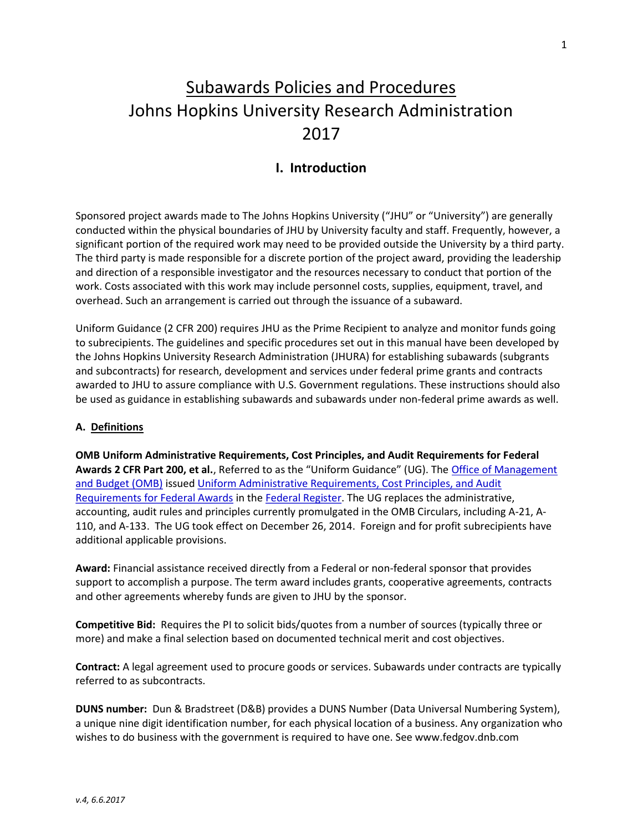# Subawards Policies and Procedures Johns Hopkins University Research Administration 2017

# I. Introduction

Sponsored project awards made to The Johns Hopkins University ("JHU" or "University") are generally conducted within the physical boundaries of JHU by University faculty and staff. Frequently, however, a significant portion of the required work may need to be provided outside the University by a third party. The third party is made responsible for a discrete portion of the project award, providing the leadership and direction of a responsible investigator and the resources necessary to conduct that portion of the work. Costs associated with this work may include personnel costs, supplies, equipment, travel, and overhead. Such an arrangement is carried out through the issuance of a subaward.

Uniform Guidance (2 CFR 200) requires JHU as the Prime Recipient to analyze and monitor funds going to subrecipients. The guidelines and specific procedures set out in this manual have been developed by the Johns Hopkins University Research Administration (JHURA) for establishing subawards (subgrants and subcontracts) for research, development and services under federal prime grants and contracts awarded to JHU to assure compliance with U.S. Government regulations. These instructions should also be used as guidance in establishing subawards and subawards under non-federal prime awards as well.

#### A. Definitions

OMB Uniform Administrative Requirements, Cost Principles, and Audit Requirements for Federal Awards 2 CFR Part 200, et al., Referred to as the "Uniform Guidance" (UG). The Office of Management and Budget (OMB) issued Uniform Administrative Requirements, Cost Principles, and Audit Requirements for Federal Awards in the Federal Register. The UG replaces the administrative, accounting, audit rules and principles currently promulgated in the OMB Circulars, including A-21, A-110, and A-133. The UG took effect on December 26, 2014. Foreign and for profit subrecipients have additional applicable provisions.

Award: Financial assistance received directly from a Federal or non-federal sponsor that provides support to accomplish a purpose. The term award includes grants, cooperative agreements, contracts and other agreements whereby funds are given to JHU by the sponsor.

Competitive Bid: Requires the PI to solicit bids/quotes from a number of sources (typically three or more) and make a final selection based on documented technical merit and cost objectives.

Contract: A legal agreement used to procure goods or services. Subawards under contracts are typically referred to as subcontracts.

DUNS number: Dun & Bradstreet (D&B) provides a DUNS Number (Data Universal Numbering System), a unique nine digit identification number, for each physical location of a business. Any organization who wishes to do business with the government is required to have one. See www.fedgov.dnb.com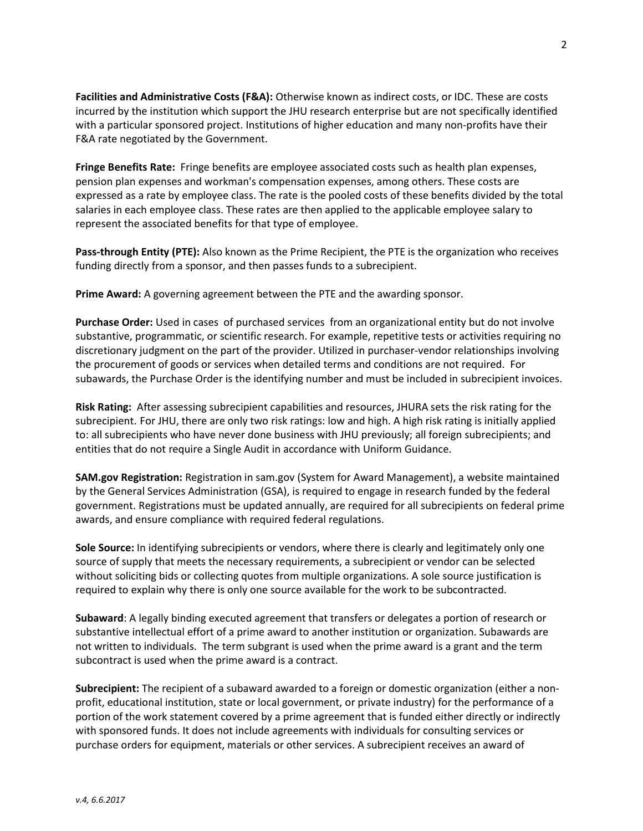Facilities and Administrative Costs (F&A): Otherwise known as indirect costs, or IDC. These are costs incurred by the institution which support the JHU research enterprise but are not specifically identified with a particular sponsored project. Institutions of higher education and many non-profits have their F&A rate negotiated by the Government.

Fringe Benefits Rate: Fringe benefits are employee associated costs such as health plan expenses, pension plan expenses and workman's compensation expenses, among others. These costs are expressed as a rate by employee class. The rate is the pooled costs of these benefits divided by the total salaries in each employee class. These rates are then applied to the applicable employee salary to represent the associated benefits for that type of employee.

Pass-through Entity (PTE): Also known as the Prime Recipient, the PTE is the organization who receives funding directly from a sponsor, and then passes funds to a subrecipient.

Prime Award: A governing agreement between the PTE and the awarding sponsor.

Purchase Order: Used in cases of purchased services from an organizational entity but do not involve substantive, programmatic, or scientific research. For example, repetitive tests or activities requiring no discretionary judgment on the part of the provider. Utilized in purchaser-vendor relationships involving the procurement of goods or services when detailed terms and conditions are not required. For subawards, the Purchase Order is the identifying number and must be included in subrecipient invoices.

Risk Rating: After assessing subrecipient capabilities and resources, JHURA sets the risk rating for the subrecipient. For JHU, there are only two risk ratings: low and high. A high risk rating is initially applied to: all subrecipients who have never done business with JHU previously; all foreign subrecipients; and entities that do not require a Single Audit in accordance with Uniform Guidance.

SAM.gov Registration: Registration in sam.gov (System for Award Management), a website maintained by the General Services Administration (GSA), is required to engage in research funded by the federal government. Registrations must be updated annually, are required for all subrecipients on federal prime awards, and ensure compliance with required federal regulations.

Sole Source: In identifying subrecipients or vendors, where there is clearly and legitimately only one source of supply that meets the necessary requirements, a subrecipient or vendor can be selected without soliciting bids or collecting quotes from multiple organizations. A sole source justification is required to explain why there is only one source available for the work to be subcontracted.

Subaward: A legally binding executed agreement that transfers or delegates a portion of research or substantive intellectual effort of a prime award to another institution or organization. Subawards are not written to individuals. The term subgrant is used when the prime award is a grant and the term subcontract is used when the prime award is a contract.

Subrecipient: The recipient of a subaward awarded to a foreign or domestic organization (either a nonprofit, educational institution, state or local government, or private industry) for the performance of a portion of the work statement covered by a prime agreement that is funded either directly or indirectly with sponsored funds. It does not include agreements with individuals for consulting services or purchase orders for equipment, materials or other services. A subrecipient receives an award of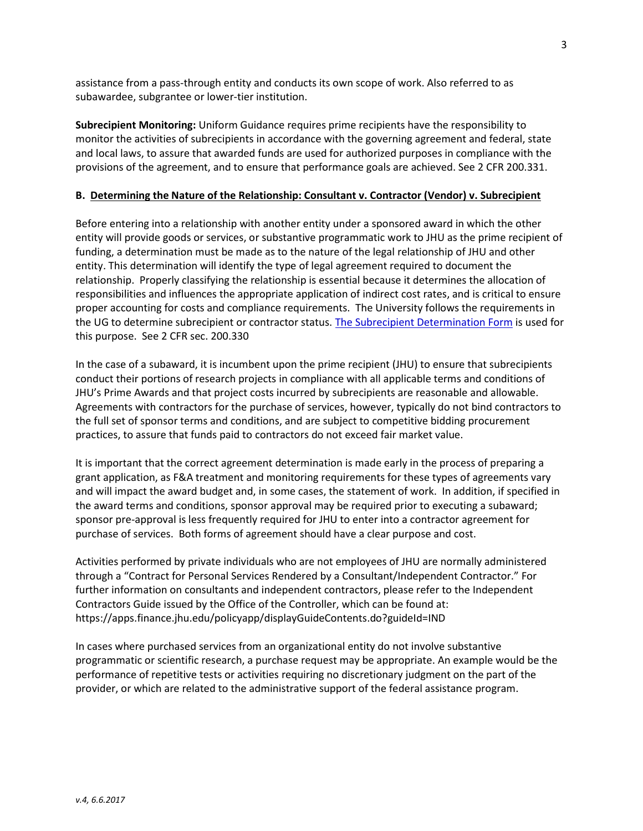assistance from a pass-through entity and conducts its own scope of work. Also referred to as subawardee, subgrantee or lower-tier institution.

Subrecipient Monitoring: Uniform Guidance requires prime recipients have the responsibility to monitor the activities of subrecipients in accordance with the governing agreement and federal, state and local laws, to assure that awarded funds are used for authorized purposes in compliance with the provisions of the agreement, and to ensure that performance goals are achieved. See 2 CFR 200.331.

#### B. Determining the Nature of the Relationship: Consultant v. Contractor (Vendor) v. Subrecipient

Before entering into a relationship with another entity under a sponsored award in which the other entity will provide goods or services, or substantive programmatic work to JHU as the prime recipient of funding, a determination must be made as to the nature of the legal relationship of JHU and other entity. This determination will identify the type of legal agreement required to document the relationship. Properly classifying the relationship is essential because it determines the allocation of responsibilities and influences the appropriate application of indirect cost rates, and is critical to ensure proper accounting for costs and compliance requirements. The University follows the requirements in the UG to determine subrecipient or contractor status. The Subrecipient Determination Form is used for this purpose. See 2 CFR sec. 200.330

In the case of a subaward, it is incumbent upon the prime recipient (JHU) to ensure that subrecipients conduct their portions of research projects in compliance with all applicable terms and conditions of JHU's Prime Awards and that project costs incurred by subrecipients are reasonable and allowable. Agreements with contractors for the purchase of services, however, typically do not bind contractors to the full set of sponsor terms and conditions, and are subject to competitive bidding procurement practices, to assure that funds paid to contractors do not exceed fair market value.

It is important that the correct agreement determination is made early in the process of preparing a grant application, as F&A treatment and monitoring requirements for these types of agreements vary and will impact the award budget and, in some cases, the statement of work. In addition, if specified in the award terms and conditions, sponsor approval may be required prior to executing a subaward; sponsor pre-approval is less frequently required for JHU to enter into a contractor agreement for purchase of services. Both forms of agreement should have a clear purpose and cost.

Activities performed by private individuals who are not employees of JHU are normally administered through a "Contract for Personal Services Rendered by a Consultant/Independent Contractor." For further information on consultants and independent contractors, please refer to the Independent Contractors Guide issued by the Office of the Controller, which can be found at: https://apps.finance.jhu.edu/policyapp/displayGuideContents.do?guideId=IND

In cases where purchased services from an organizational entity do not involve substantive programmatic or scientific research, a purchase request may be appropriate. An example would be the performance of repetitive tests or activities requiring no discretionary judgment on the part of the provider, or which are related to the administrative support of the federal assistance program.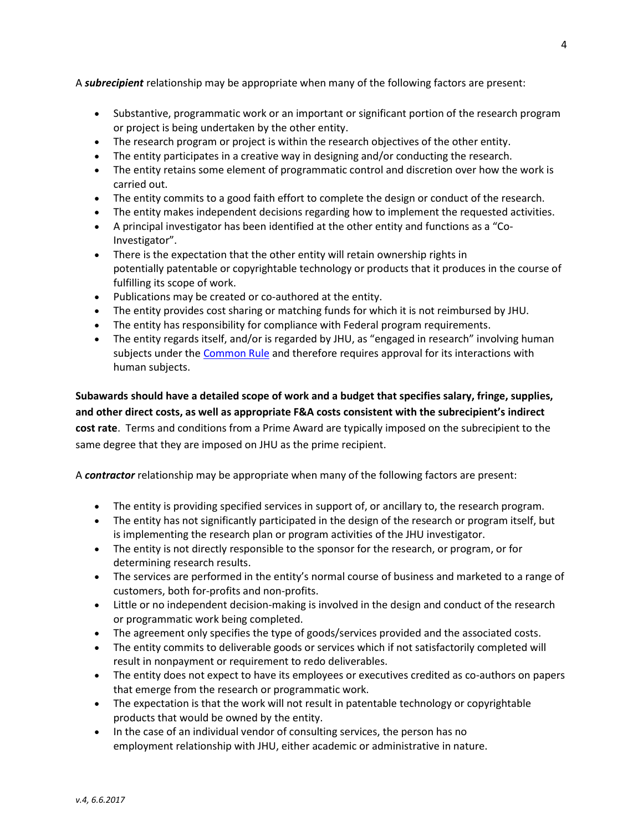A **subrecipient** relationship may be appropriate when many of the following factors are present:

- Substantive, programmatic work or an important or significant portion of the research program or project is being undertaken by the other entity.
- The research program or project is within the research objectives of the other entity.
- The entity participates in a creative way in designing and/or conducting the research.
- The entity retains some element of programmatic control and discretion over how the work is carried out.
- The entity commits to a good faith effort to complete the design or conduct of the research.
- The entity makes independent decisions regarding how to implement the requested activities.
- A principal investigator has been identified at the other entity and functions as a "Co-Investigator".
- There is the expectation that the other entity will retain ownership rights in potentially patentable or copyrightable technology or products that it produces in the course of fulfilling its scope of work.
- Publications may be created or co-authored at the entity.
- The entity provides cost sharing or matching funds for which it is not reimbursed by JHU.
- The entity has responsibility for compliance with Federal program requirements.
- The entity regards itself, and/or is regarded by JHU, as "engaged in research" involving human subjects under the Common Rule and therefore requires approval for its interactions with human subjects.

Subawards should have a detailed scope of work and a budget that specifies salary, fringe, supplies, and other direct costs, as well as appropriate F&A costs consistent with the subrecipient's indirect cost rate. Terms and conditions from a Prime Award are typically imposed on the subrecipient to the same degree that they are imposed on JHU as the prime recipient.

A **contractor** relationship may be appropriate when many of the following factors are present:

- The entity is providing specified services in support of, or ancillary to, the research program.
- The entity has not significantly participated in the design of the research or program itself, but is implementing the research plan or program activities of the JHU investigator.
- The entity is not directly responsible to the sponsor for the research, or program, or for determining research results.
- The services are performed in the entity's normal course of business and marketed to a range of customers, both for-profits and non-profits.
- Little or no independent decision-making is involved in the design and conduct of the research or programmatic work being completed.
- The agreement only specifies the type of goods/services provided and the associated costs.
- The entity commits to deliverable goods or services which if not satisfactorily completed will result in nonpayment or requirement to redo deliverables.
- The entity does not expect to have its employees or executives credited as co-authors on papers that emerge from the research or programmatic work.
- The expectation is that the work will not result in patentable technology or copyrightable products that would be owned by the entity.
- In the case of an individual vendor of consulting services, the person has no employment relationship with JHU, either academic or administrative in nature.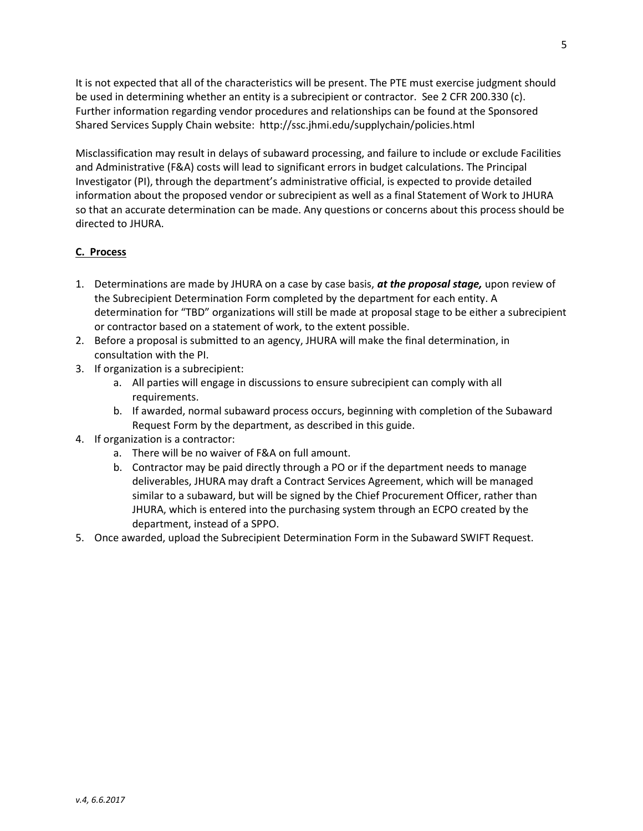It is not expected that all of the characteristics will be present. The PTE must exercise judgment should be used in determining whether an entity is a subrecipient or contractor. See 2 CFR 200.330 (c). Further information regarding vendor procedures and relationships can be found at the Sponsored Shared Services Supply Chain website: http://ssc.jhmi.edu/supplychain/policies.html

Misclassification may result in delays of subaward processing, and failure to include or exclude Facilities and Administrative (F&A) costs will lead to significant errors in budget calculations. The Principal Investigator (PI), through the department's administrative official, is expected to provide detailed information about the proposed vendor or subrecipient as well as a final Statement of Work to JHURA so that an accurate determination can be made. Any questions or concerns about this process should be directed to JHURA.

### C. Process

- 1. Determinations are made by JHURA on a case by case basis, at the proposal stage, upon review of the Subrecipient Determination Form completed by the department for each entity. A determination for "TBD" organizations will still be made at proposal stage to be either a subrecipient or contractor based on a statement of work, to the extent possible.
- 2. Before a proposal is submitted to an agency, JHURA will make the final determination, in consultation with the PI.
- 3. If organization is a subrecipient:
	- a. All parties will engage in discussions to ensure subrecipient can comply with all requirements.
	- b. If awarded, normal subaward process occurs, beginning with completion of the Subaward Request Form by the department, as described in this guide.
- 4. If organization is a contractor:
	- a. There will be no waiver of F&A on full amount.
	- b. Contractor may be paid directly through a PO or if the department needs to manage deliverables, JHURA may draft a Contract Services Agreement, which will be managed similar to a subaward, but will be signed by the Chief Procurement Officer, rather than JHURA, which is entered into the purchasing system through an ECPO created by the department, instead of a SPPO.
- 5. Once awarded, upload the Subrecipient Determination Form in the Subaward SWIFT Request.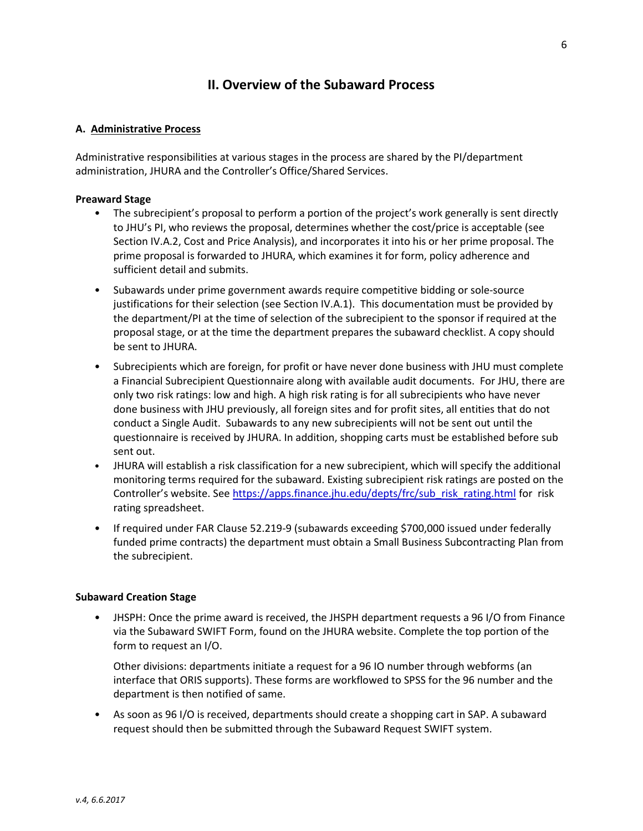# II. Overview of the Subaward Process

#### A. Administrative Process

Administrative responsibilities at various stages in the process are shared by the PI/department administration, JHURA and the Controller's Office/Shared Services.

#### Preaward Stage

- The subrecipient's proposal to perform a portion of the project's work generally is sent directly to JHU's PI, who reviews the proposal, determines whether the cost/price is acceptable (see Section IV.A.2, Cost and Price Analysis), and incorporates it into his or her prime proposal. The prime proposal is forwarded to JHURA, which examines it for form, policy adherence and sufficient detail and submits.
- Subawards under prime government awards require competitive bidding or sole-source justifications for their selection (see Section IV.A.1). This documentation must be provided by the department/PI at the time of selection of the subrecipient to the sponsor if required at the proposal stage, or at the time the department prepares the subaward checklist. A copy should be sent to JHURA.
- Subrecipients which are foreign, for profit or have never done business with JHU must complete a Financial Subrecipient Questionnaire along with available audit documents. For JHU, there are only two risk ratings: low and high. A high risk rating is for all subrecipients who have never done business with JHU previously, all foreign sites and for profit sites, all entities that do not conduct a Single Audit. Subawards to any new subrecipients will not be sent out until the questionnaire is received by JHURA. In addition, shopping carts must be established before sub sent out.
- JHURA will establish a risk classification for a new subrecipient, which will specify the additional monitoring terms required for the subaward. Existing subrecipient risk ratings are posted on the Controller's website. See https://apps.finance.jhu.edu/depts/frc/sub\_risk\_rating.html for risk rating spreadsheet.
- If required under FAR Clause 52.219-9 (subawards exceeding \$700,000 issued under federally funded prime contracts) the department must obtain a Small Business Subcontracting Plan from the subrecipient.

#### Subaward Creation Stage

• JHSPH: Once the prime award is received, the JHSPH department requests a 96 I/O from Finance via the Subaward SWIFT Form, found on the JHURA website. Complete the top portion of the form to request an I/O.

Other divisions: departments initiate a request for a 96 IO number through webforms (an interface that ORIS supports). These forms are workflowed to SPSS for the 96 number and the department is then notified of same.

• As soon as 96 I/O is received, departments should create a shopping cart in SAP. A subaward request should then be submitted through the Subaward Request SWIFT system.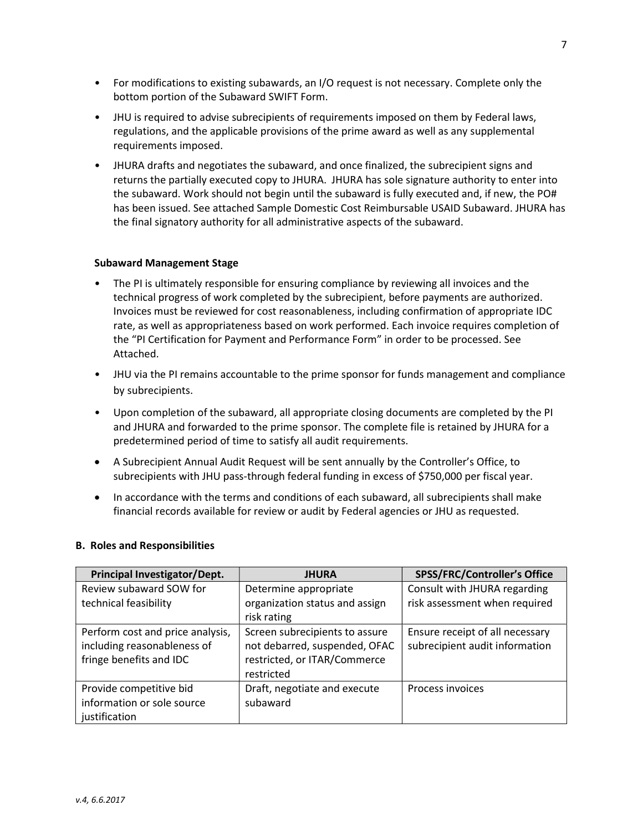- For modifications to existing subawards, an I/O request is not necessary. Complete only the bottom portion of the Subaward SWIFT Form.
- JHU is required to advise subrecipients of requirements imposed on them by Federal laws, regulations, and the applicable provisions of the prime award as well as any supplemental requirements imposed.
- JHURA drafts and negotiates the subaward, and once finalized, the subrecipient signs and returns the partially executed copy to JHURA. JHURA has sole signature authority to enter into the subaward. Work should not begin until the subaward is fully executed and, if new, the PO# has been issued. See attached Sample Domestic Cost Reimbursable USAID Subaward. JHURA has the final signatory authority for all administrative aspects of the subaward.

#### Subaward Management Stage

- The PI is ultimately responsible for ensuring compliance by reviewing all invoices and the technical progress of work completed by the subrecipient, before payments are authorized. Invoices must be reviewed for cost reasonableness, including confirmation of appropriate IDC rate, as well as appropriateness based on work performed. Each invoice requires completion of the "PI Certification for Payment and Performance Form" in order to be processed. See Attached.
- JHU via the PI remains accountable to the prime sponsor for funds management and compliance by subrecipients.
- Upon completion of the subaward, all appropriate closing documents are completed by the PI and JHURA and forwarded to the prime sponsor. The complete file is retained by JHURA for a predetermined period of time to satisfy all audit requirements.
- A Subrecipient Annual Audit Request will be sent annually by the Controller's Office, to subrecipients with JHU pass-through federal funding in excess of \$750,000 per fiscal year.
- In accordance with the terms and conditions of each subaward, all subrecipients shall make financial records available for review or audit by Federal agencies or JHU as requested.

#### B. Roles and Responsibilities

| Principal Investigator/Dept.     | <b>JHURA</b>                   | <b>SPSS/FRC/Controller's Office</b> |
|----------------------------------|--------------------------------|-------------------------------------|
| Review subaward SOW for          | Determine appropriate          | Consult with JHURA regarding        |
| technical feasibility            | organization status and assign | risk assessment when required       |
|                                  | risk rating                    |                                     |
| Perform cost and price analysis, | Screen subrecipients to assure | Ensure receipt of all necessary     |
| including reasonableness of      | not debarred, suspended, OFAC  | subrecipient audit information      |
| fringe benefits and IDC          | restricted, or ITAR/Commerce   |                                     |
|                                  | restricted                     |                                     |
| Provide competitive bid          | Draft, negotiate and execute   | Process invoices                    |
| information or sole source       | subaward                       |                                     |
| justification                    |                                |                                     |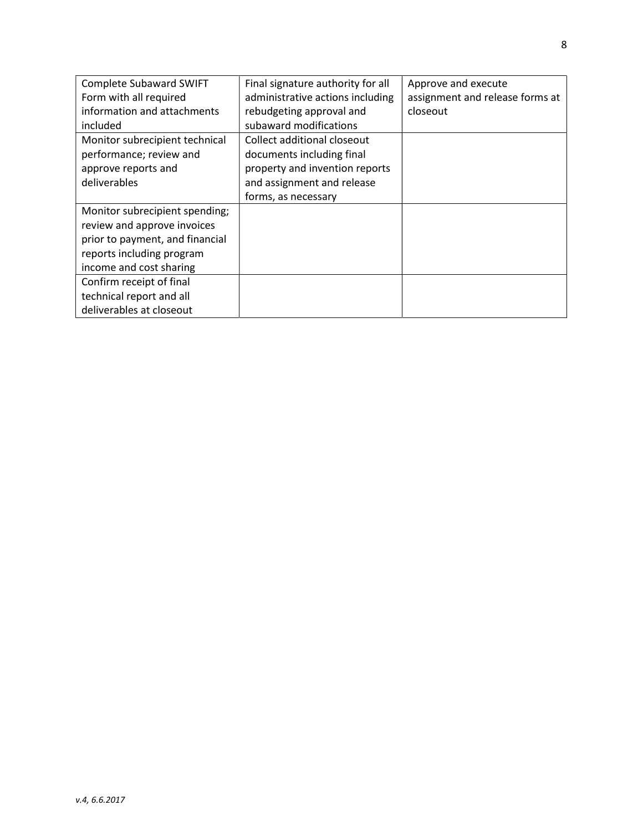| <b>Complete Subaward SWIFT</b>  | Final signature authority for all | Approve and execute             |
|---------------------------------|-----------------------------------|---------------------------------|
| Form with all required          | administrative actions including  | assignment and release forms at |
| information and attachments     | rebudgeting approval and          | closeout                        |
| included                        | subaward modifications            |                                 |
| Monitor subrecipient technical  | Collect additional closeout       |                                 |
| performance; review and         | documents including final         |                                 |
| approve reports and             | property and invention reports    |                                 |
| deliverables                    | and assignment and release        |                                 |
|                                 | forms, as necessary               |                                 |
| Monitor subrecipient spending;  |                                   |                                 |
| review and approve invoices     |                                   |                                 |
| prior to payment, and financial |                                   |                                 |
| reports including program       |                                   |                                 |
| income and cost sharing         |                                   |                                 |
| Confirm receipt of final        |                                   |                                 |
| technical report and all        |                                   |                                 |
| deliverables at closeout        |                                   |                                 |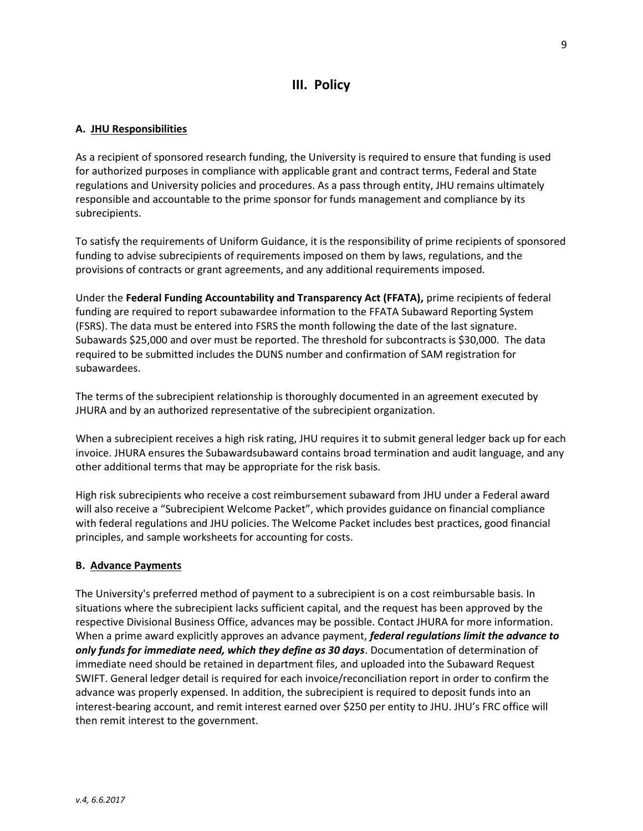# III. Policy

#### A. JHU Responsibilities

As a recipient of sponsored research funding, the University is required to ensure that funding is used for authorized purposes in compliance with applicable grant and contract terms, Federal and State regulations and University policies and procedures. As a pass through entity, JHU remains ultimately responsible and accountable to the prime sponsor for funds management and compliance by its subrecipients.

To satisfy the requirements of Uniform Guidance, it is the responsibility of prime recipients of sponsored funding to advise subrecipients of requirements imposed on them by laws, regulations, and the provisions of contracts or grant agreements, and any additional requirements imposed.

Under the Federal Funding Accountability and Transparency Act (FFATA), prime recipients of federal funding are required to report subawardee information to the FFATA Subaward Reporting System (FSRS). The data must be entered into FSRS the month following the date of the last signature. Subawards \$25,000 and over must be reported. The threshold for subcontracts is \$30,000. The data required to be submitted includes the DUNS number and confirmation of SAM registration for subawardees.

The terms of the subrecipient relationship is thoroughly documented in an agreement executed by JHURA and by an authorized representative of the subrecipient organization.

When a subrecipient receives a high risk rating, JHU requires it to submit general ledger back up for each invoice. JHURA ensures the Subawardsubaward contains broad termination and audit language, and any other additional terms that may be appropriate for the risk basis.

High risk subrecipients who receive a cost reimbursement subaward from JHU under a Federal award will also receive a "Subrecipient Welcome Packet", which provides guidance on financial compliance with federal regulations and JHU policies. The Welcome Packet includes best practices, good financial principles, and sample worksheets for accounting for costs.

#### B. Advance Payments

The University's preferred method of payment to a subrecipient is on a cost reimbursable basis. In situations where the subrecipient lacks sufficient capital, and the request has been approved by the respective Divisional Business Office, advances may be possible. Contact JHURA for more information. When a prime award explicitly approves an advance payment, federal regulations limit the advance to only funds for immediate need, which they define as 30 days. Documentation of determination of immediate need should be retained in department files, and uploaded into the Subaward Request SWIFT. General ledger detail is required for each invoice/reconciliation report in order to confirm the advance was properly expensed. In addition, the subrecipient is required to deposit funds into an interest-bearing account, and remit interest earned over \$250 per entity to JHU. JHU's FRC office will then remit interest to the government.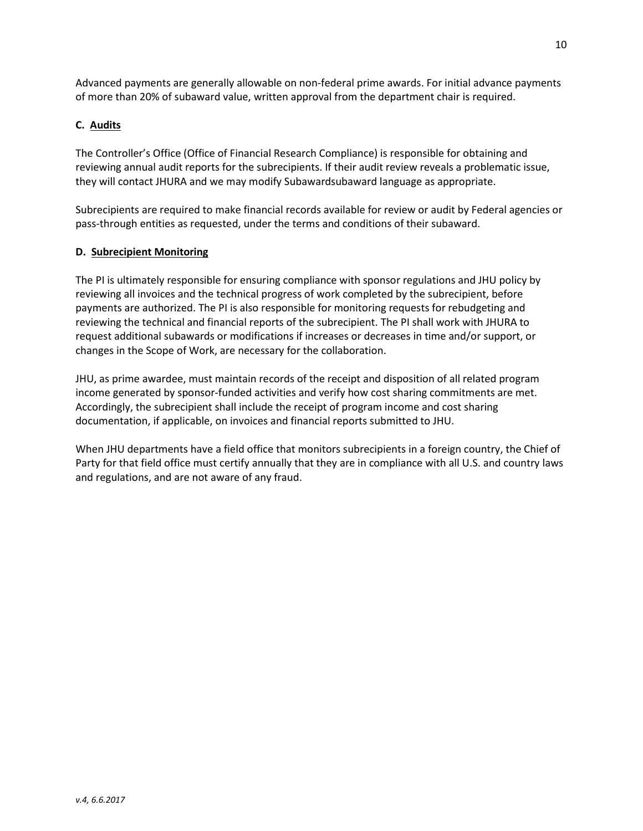Advanced payments are generally allowable on non-federal prime awards. For initial advance payments of more than 20% of subaward value, written approval from the department chair is required.

### C. Audits

The Controller's Office (Office of Financial Research Compliance) is responsible for obtaining and reviewing annual audit reports for the subrecipients. If their audit review reveals a problematic issue, they will contact JHURA and we may modify Subawardsubaward language as appropriate.

Subrecipients are required to make financial records available for review or audit by Federal agencies or pass-through entities as requested, under the terms and conditions of their subaward.

#### D. Subrecipient Monitoring

The PI is ultimately responsible for ensuring compliance with sponsor regulations and JHU policy by reviewing all invoices and the technical progress of work completed by the subrecipient, before payments are authorized. The PI is also responsible for monitoring requests for rebudgeting and reviewing the technical and financial reports of the subrecipient. The PI shall work with JHURA to request additional subawards or modifications if increases or decreases in time and/or support, or changes in the Scope of Work, are necessary for the collaboration.

JHU, as prime awardee, must maintain records of the receipt and disposition of all related program income generated by sponsor-funded activities and verify how cost sharing commitments are met. Accordingly, the subrecipient shall include the receipt of program income and cost sharing documentation, if applicable, on invoices and financial reports submitted to JHU.

When JHU departments have a field office that monitors subrecipients in a foreign country, the Chief of Party for that field office must certify annually that they are in compliance with all U.S. and country laws and regulations, and are not aware of any fraud.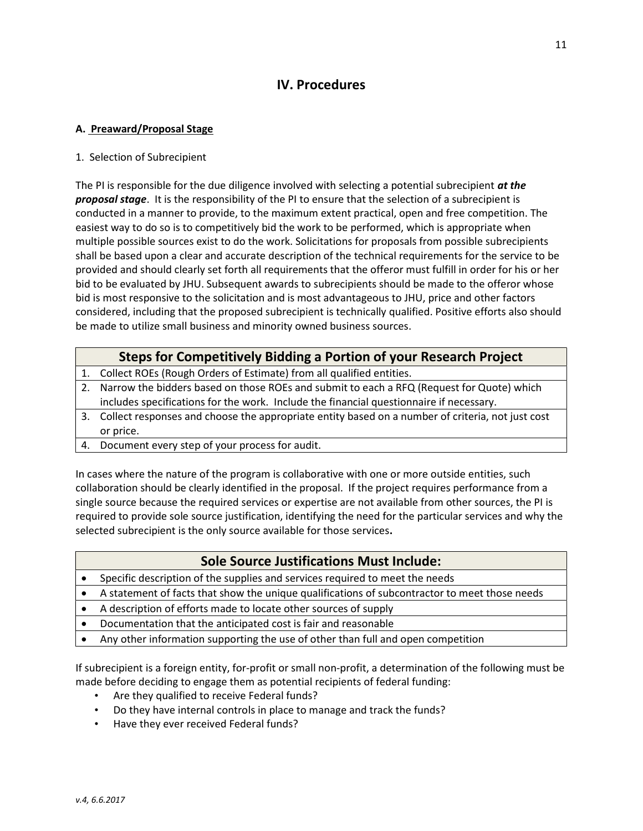# IV. Procedures

### A. Preaward/Proposal Stage

#### 1. Selection of Subrecipient

The PI is responsible for the due diligence involved with selecting a potential subrecipient  $at$  the proposal stage. It is the responsibility of the PI to ensure that the selection of a subrecipient is conducted in a manner to provide, to the maximum extent practical, open and free competition. The easiest way to do so is to competitively bid the work to be performed, which is appropriate when multiple possible sources exist to do the work. Solicitations for proposals from possible subrecipients shall be based upon a clear and accurate description of the technical requirements for the service to be provided and should clearly set forth all requirements that the offeror must fulfill in order for his or her bid to be evaluated by JHU. Subsequent awards to subrecipients should be made to the offeror whose bid is most responsive to the solicitation and is most advantageous to JHU, price and other factors considered, including that the proposed subrecipient is technically qualified. Positive efforts also should be made to utilize small business and minority owned business sources.

# Steps for Competitively Bidding a Portion of your Research Project

- 1. Collect ROEs (Rough Orders of Estimate) from all qualified entities.
- 2. Narrow the bidders based on those ROEs and submit to each a RFQ (Request for Quote) which includes specifications for the work. Include the financial questionnaire if necessary.
- 3. Collect responses and choose the appropriate entity based on a number of criteria, not just cost or price.
- 4. Document every step of your process for audit.

In cases where the nature of the program is collaborative with one or more outside entities, such collaboration should be clearly identified in the proposal. If the project requires performance from a single source because the required services or expertise are not available from other sources, the PI is required to provide sole source justification, identifying the need for the particular services and why the selected subrecipient is the only source available for those services.

### Sole Source Justifications Must Include:

- Specific description of the supplies and services required to meet the needs
- A statement of facts that show the unique qualifications of subcontractor to meet those needs
- A description of efforts made to locate other sources of supply
- Documentation that the anticipated cost is fair and reasonable
- Any other information supporting the use of other than full and open competition

If subrecipient is a foreign entity, for-profit or small non-profit, a determination of the following must be made before deciding to engage them as potential recipients of federal funding:

- Are they qualified to receive Federal funds?
- Do they have internal controls in place to manage and track the funds?
- Have they ever received Federal funds?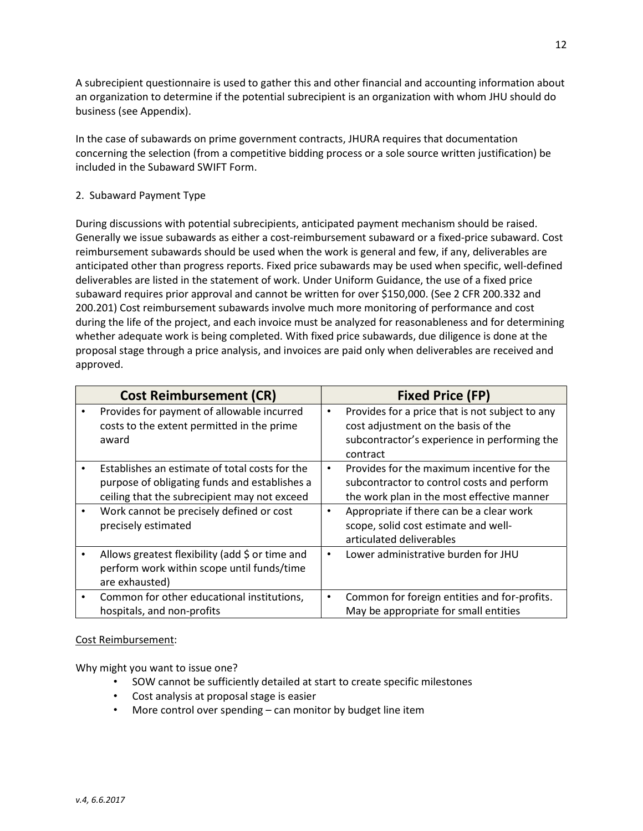A subrecipient questionnaire is used to gather this and other financial and accounting information about an organization to determine if the potential subrecipient is an organization with whom JHU should do business (see Appendix).

In the case of subawards on prime government contracts, JHURA requires that documentation concerning the selection (from a competitive bidding process or a sole source written justification) be included in the Subaward SWIFT Form.

### 2. Subaward Payment Type

During discussions with potential subrecipients, anticipated payment mechanism should be raised. Generally we issue subawards as either a cost-reimbursement subaward or a fixed-price subaward. Cost reimbursement subawards should be used when the work is general and few, if any, deliverables are anticipated other than progress reports. Fixed price subawards may be used when specific, well-defined deliverables are listed in the statement of work. Under Uniform Guidance, the use of a fixed price subaward requires prior approval and cannot be written for over \$150,000. (See 2 CFR 200.332 and 200.201) Cost reimbursement subawards involve much more monitoring of performance and cost during the life of the project, and each invoice must be analyzed for reasonableness and for determining whether adequate work is being completed. With fixed price subawards, due diligence is done at the proposal stage through a price analysis, and invoices are paid only when deliverables are received and approved.

|           | <b>Cost Reimbursement (CR)</b>                                                                                                                  |           | <b>Fixed Price (FP)</b>                                                                                                                            |
|-----------|-------------------------------------------------------------------------------------------------------------------------------------------------|-----------|----------------------------------------------------------------------------------------------------------------------------------------------------|
|           | Provides for payment of allowable incurred<br>costs to the extent permitted in the prime<br>award                                               | $\bullet$ | Provides for a price that is not subject to any<br>cost adjustment on the basis of the<br>subcontractor's experience in performing the<br>contract |
|           | Establishes an estimate of total costs for the<br>purpose of obligating funds and establishes a<br>ceiling that the subrecipient may not exceed | ٠         | Provides for the maximum incentive for the<br>subcontractor to control costs and perform<br>the work plan in the most effective manner             |
|           | Work cannot be precisely defined or cost<br>precisely estimated                                                                                 | $\bullet$ | Appropriate if there can be a clear work<br>scope, solid cost estimate and well-<br>articulated deliverables                                       |
|           | Allows greatest flexibility (add \$ or time and<br>perform work within scope until funds/time<br>are exhausted)                                 | $\bullet$ | Lower administrative burden for JHU                                                                                                                |
| $\bullet$ | Common for other educational institutions,<br>hospitals, and non-profits                                                                        | $\bullet$ | Common for foreign entities and for-profits.<br>May be appropriate for small entities                                                              |

#### Cost Reimbursement:

Why might you want to issue one?

- SOW cannot be sufficiently detailed at start to create specific milestones
- Cost analysis at proposal stage is easier
- More control over spending can monitor by budget line item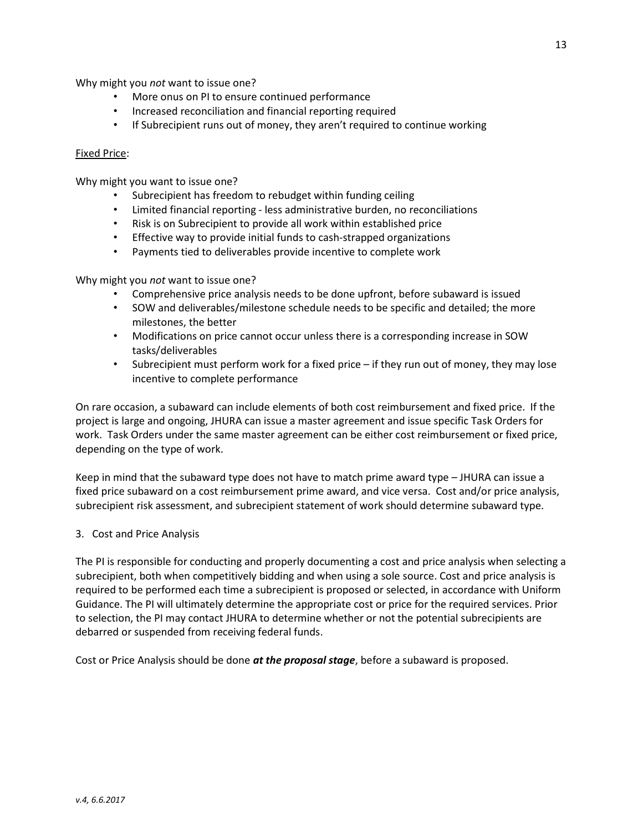Why might you not want to issue one?

- More onus on PI to ensure continued performance
- Increased reconciliation and financial reporting required
- If Subrecipient runs out of money, they aren't required to continue working

#### Fixed Price:

Why might you want to issue one?

- Subrecipient has freedom to rebudget within funding ceiling
- Limited financial reporting less administrative burden, no reconciliations
- Risk is on Subrecipient to provide all work within established price
- Effective way to provide initial funds to cash-strapped organizations
- Payments tied to deliverables provide incentive to complete work

Why might you not want to issue one?

- Comprehensive price analysis needs to be done upfront, before subaward is issued
- SOW and deliverables/milestone schedule needs to be specific and detailed; the more milestones, the better
- Modifications on price cannot occur unless there is a corresponding increase in SOW tasks/deliverables
- Subrecipient must perform work for a fixed price if they run out of money, they may lose incentive to complete performance

On rare occasion, a subaward can include elements of both cost reimbursement and fixed price. If the project is large and ongoing, JHURA can issue a master agreement and issue specific Task Orders for work. Task Orders under the same master agreement can be either cost reimbursement or fixed price, depending on the type of work.

Keep in mind that the subaward type does not have to match prime award type – JHURA can issue a fixed price subaward on a cost reimbursement prime award, and vice versa. Cost and/or price analysis, subrecipient risk assessment, and subrecipient statement of work should determine subaward type.

#### 3. Cost and Price Analysis

The PI is responsible for conducting and properly documenting a cost and price analysis when selecting a subrecipient, both when competitively bidding and when using a sole source. Cost and price analysis is required to be performed each time a subrecipient is proposed or selected, in accordance with Uniform Guidance. The PI will ultimately determine the appropriate cost or price for the required services. Prior to selection, the PI may contact JHURA to determine whether or not the potential subrecipients are debarred or suspended from receiving federal funds.

Cost or Price Analysis should be done at the proposal stage, before a subaward is proposed.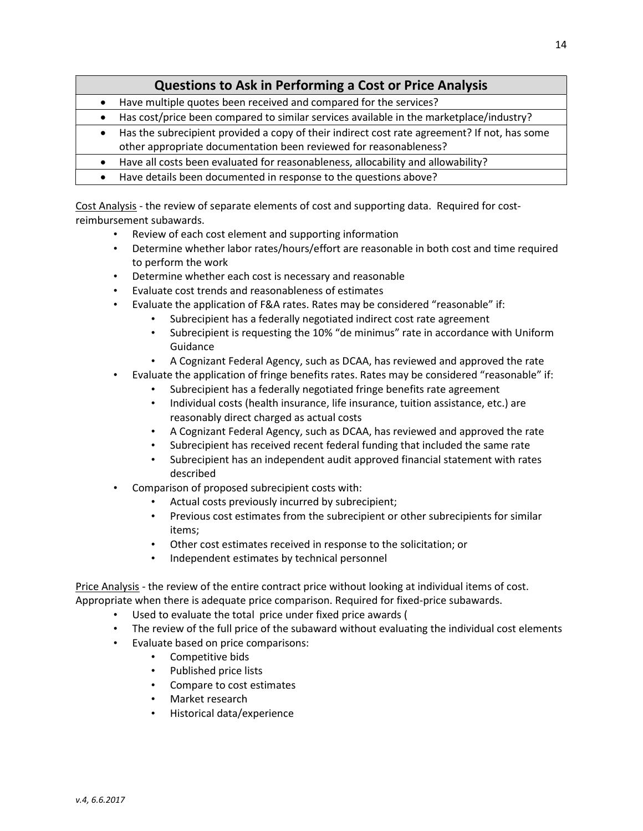- Have multiple quotes been received and compared for the services?
- Has cost/price been compared to similar services available in the marketplace/industry?
- Has the subrecipient provided a copy of their indirect cost rate agreement? If not, has some
- other appropriate documentation been reviewed for reasonableness?
- Have all costs been evaluated for reasonableness, allocability and allowability?
- Have details been documented in response to the questions above?

Cost Analysis - the review of separate elements of cost and supporting data. Required for costreimbursement subawards.

- Review of each cost element and supporting information
- Determine whether labor rates/hours/effort are reasonable in both cost and time required to perform the work
- Determine whether each cost is necessary and reasonable
- Evaluate cost trends and reasonableness of estimates
- Evaluate the application of F&A rates. Rates may be considered "reasonable" if:
	- Subrecipient has a federally negotiated indirect cost rate agreement
	- Subrecipient is requesting the 10% "de minimus" rate in accordance with Uniform Guidance
	- A Cognizant Federal Agency, such as DCAA, has reviewed and approved the rate
- Evaluate the application of fringe benefits rates. Rates may be considered "reasonable" if:
	- Subrecipient has a federally negotiated fringe benefits rate agreement
	- Individual costs (health insurance, life insurance, tuition assistance, etc.) are reasonably direct charged as actual costs
	- A Cognizant Federal Agency, such as DCAA, has reviewed and approved the rate
	- Subrecipient has received recent federal funding that included the same rate
	- Subrecipient has an independent audit approved financial statement with rates described
- Comparison of proposed subrecipient costs with:
	- Actual costs previously incurred by subrecipient;
	- Previous cost estimates from the subrecipient or other subrecipients for similar items;
	- Other cost estimates received in response to the solicitation; or
	- Independent estimates by technical personnel

Price Analysis - the review of the entire contract price without looking at individual items of cost. Appropriate when there is adequate price comparison. Required for fixed-price subawards.

- Used to evaluate the total price under fixed price awards (
- The review of the full price of the subaward without evaluating the individual cost elements
- Evaluate based on price comparisons:
	- Competitive bids
	- Published price lists
	- Compare to cost estimates
	- Market research
	- Historical data/experience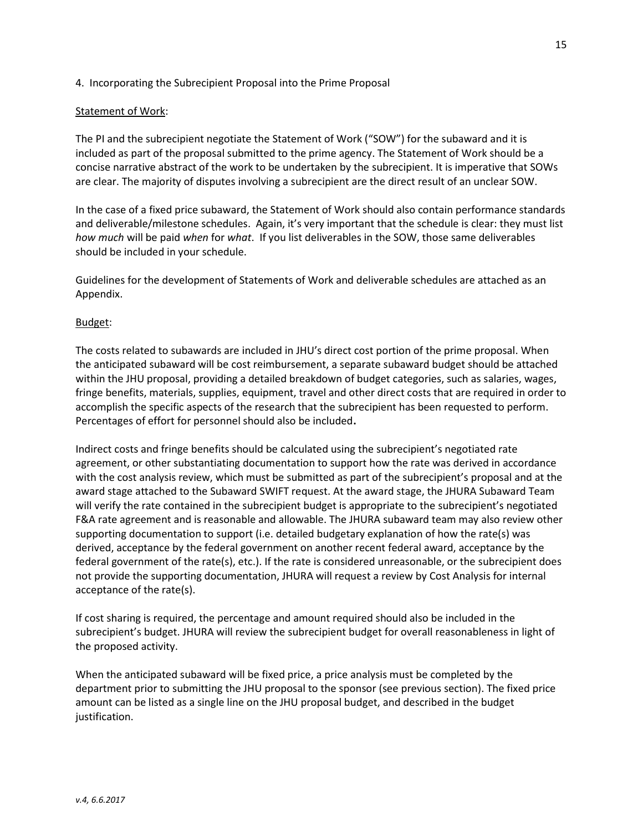#### 4. Incorporating the Subrecipient Proposal into the Prime Proposal

#### Statement of Work:

The PI and the subrecipient negotiate the Statement of Work ("SOW") for the subaward and it is included as part of the proposal submitted to the prime agency. The Statement of Work should be a concise narrative abstract of the work to be undertaken by the subrecipient. It is imperative that SOWs are clear. The majority of disputes involving a subrecipient are the direct result of an unclear SOW.

In the case of a fixed price subaward, the Statement of Work should also contain performance standards and deliverable/milestone schedules. Again, it's very important that the schedule is clear: they must list how much will be paid when for what. If you list deliverables in the SOW, those same deliverables should be included in your schedule.

Guidelines for the development of Statements of Work and deliverable schedules are attached as an Appendix.

#### Budget:

The costs related to subawards are included in JHU's direct cost portion of the prime proposal. When the anticipated subaward will be cost reimbursement, a separate subaward budget should be attached within the JHU proposal, providing a detailed breakdown of budget categories, such as salaries, wages, fringe benefits, materials, supplies, equipment, travel and other direct costs that are required in order to accomplish the specific aspects of the research that the subrecipient has been requested to perform. Percentages of effort for personnel should also be included.

Indirect costs and fringe benefits should be calculated using the subrecipient's negotiated rate agreement, or other substantiating documentation to support how the rate was derived in accordance with the cost analysis review, which must be submitted as part of the subrecipient's proposal and at the award stage attached to the Subaward SWIFT request. At the award stage, the JHURA Subaward Team will verify the rate contained in the subrecipient budget is appropriate to the subrecipient's negotiated F&A rate agreement and is reasonable and allowable. The JHURA subaward team may also review other supporting documentation to support (i.e. detailed budgetary explanation of how the rate(s) was derived, acceptance by the federal government on another recent federal award, acceptance by the federal government of the rate(s), etc.). If the rate is considered unreasonable, or the subrecipient does not provide the supporting documentation, JHURA will request a review by Cost Analysis for internal acceptance of the rate(s).

If cost sharing is required, the percentage and amount required should also be included in the subrecipient's budget. JHURA will review the subrecipient budget for overall reasonableness in light of the proposed activity.

When the anticipated subaward will be fixed price, a price analysis must be completed by the department prior to submitting the JHU proposal to the sponsor (see previous section). The fixed price amount can be listed as a single line on the JHU proposal budget, and described in the budget justification.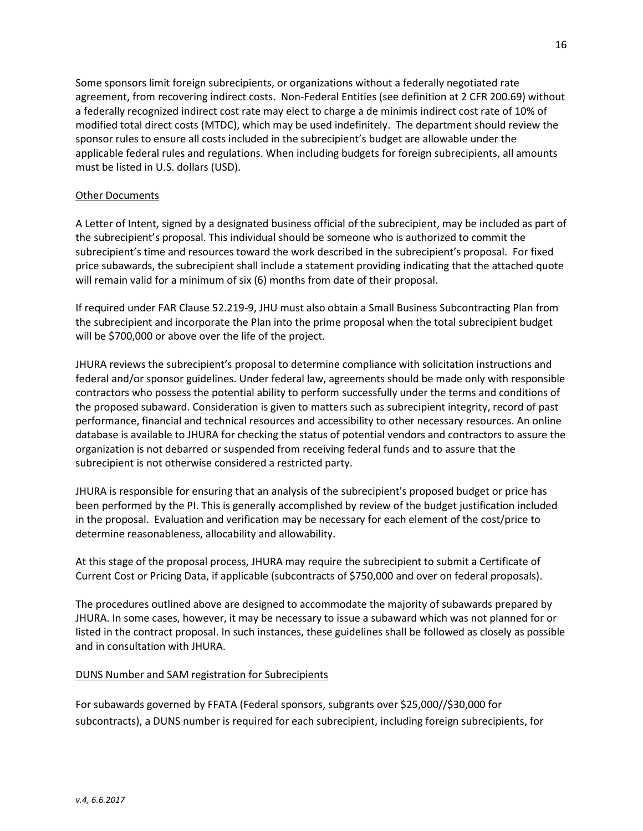Some sponsors limit foreign subrecipients, or organizations without a federally negotiated rate agreement, from recovering indirect costs. Non-Federal Entities (see definition at 2 CFR 200.69) without a federally recognized indirect cost rate may elect to charge a de minimis indirect cost rate of 10% of modified total direct costs (MTDC), which may be used indefinitely. The department should review the sponsor rules to ensure all costs included in the subrecipient's budget are allowable under the applicable federal rules and regulations. When including budgets for foreign subrecipients, all amounts must be listed in U.S. dollars (USD).

#### Other Documents

A Letter of Intent, signed by a designated business official of the subrecipient, may be included as part of the subrecipient's proposal. This individual should be someone who is authorized to commit the subrecipient's time and resources toward the work described in the subrecipient's proposal. For fixed price subawards, the subrecipient shall include a statement providing indicating that the attached quote will remain valid for a minimum of six (6) months from date of their proposal.

If required under FAR Clause 52.219-9, JHU must also obtain a Small Business Subcontracting Plan from the subrecipient and incorporate the Plan into the prime proposal when the total subrecipient budget will be \$700,000 or above over the life of the project.

JHURA reviews the subrecipient's proposal to determine compliance with solicitation instructions and federal and/or sponsor guidelines. Under federal law, agreements should be made only with responsible contractors who possess the potential ability to perform successfully under the terms and conditions of the proposed subaward. Consideration is given to matters such as subrecipient integrity, record of past performance, financial and technical resources and accessibility to other necessary resources. An online database is available to JHURA for checking the status of potential vendors and contractors to assure the organization is not debarred or suspended from receiving federal funds and to assure that the subrecipient is not otherwise considered a restricted party.

JHURA is responsible for ensuring that an analysis of the subrecipient's proposed budget or price has been performed by the PI. This is generally accomplished by review of the budget justification included in the proposal. Evaluation and verification may be necessary for each element of the cost/price to determine reasonableness, allocability and allowability.

At this stage of the proposal process, JHURA may require the subrecipient to submit a Certificate of Current Cost or Pricing Data, if applicable (subcontracts of \$750,000 and over on federal proposals).

The procedures outlined above are designed to accommodate the majority of subawards prepared by JHURA. In some cases, however, it may be necessary to issue a subaward which was not planned for or listed in the contract proposal. In such instances, these guidelines shall be followed as closely as possible and in consultation with JHURA.

#### DUNS Number and SAM registration for Subrecipients

For subawards governed by FFATA (Federal sponsors, subgrants over \$25,000//\$30,000 for subcontracts), a DUNS number is required for each subrecipient, including foreign subrecipients, for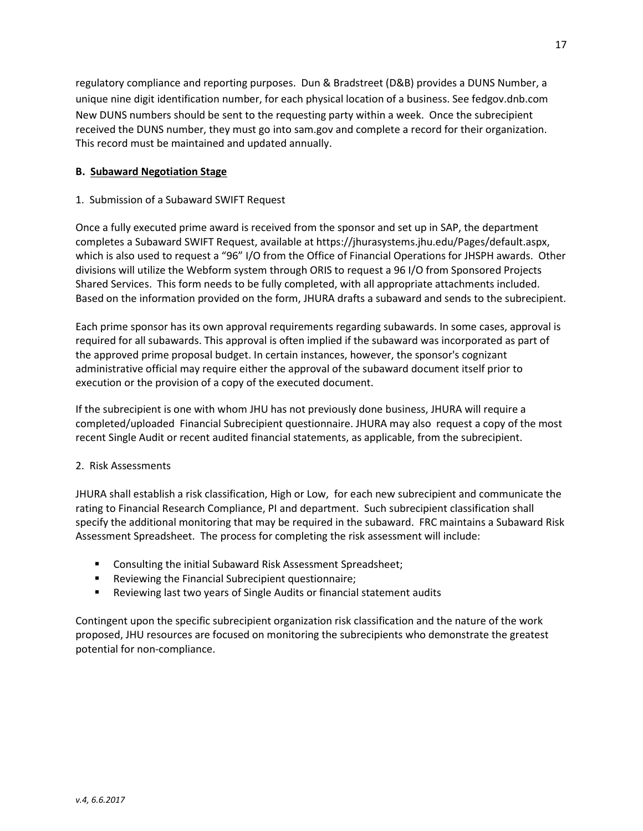regulatory compliance and reporting purposes. Dun & Bradstreet (D&B) provides a DUNS Number, a unique nine digit identification number, for each physical location of a business. See fedgov.dnb.com New DUNS numbers should be sent to the requesting party within a week. Once the subrecipient received the DUNS number, they must go into sam.gov and complete a record for their organization. This record must be maintained and updated annually.

#### B. Subaward Negotiation Stage

#### 1. Submission of a Subaward SWIFT Request

Once a fully executed prime award is received from the sponsor and set up in SAP, the department completes a Subaward SWIFT Request, available at https://jhurasystems.jhu.edu/Pages/default.aspx, which is also used to request a "96" I/O from the Office of Financial Operations for JHSPH awards. Other divisions will utilize the Webform system through ORIS to request a 96 I/O from Sponsored Projects Shared Services. This form needs to be fully completed, with all appropriate attachments included. Based on the information provided on the form, JHURA drafts a subaward and sends to the subrecipient.

Each prime sponsor has its own approval requirements regarding subawards. In some cases, approval is required for all subawards. This approval is often implied if the subaward was incorporated as part of the approved prime proposal budget. In certain instances, however, the sponsor's cognizant administrative official may require either the approval of the subaward document itself prior to execution or the provision of a copy of the executed document.

If the subrecipient is one with whom JHU has not previously done business, JHURA will require a completed/uploaded Financial Subrecipient questionnaire. JHURA may also request a copy of the most recent Single Audit or recent audited financial statements, as applicable, from the subrecipient.

#### 2. Risk Assessments

JHURA shall establish a risk classification, High or Low, for each new subrecipient and communicate the rating to Financial Research Compliance, PI and department. Such subrecipient classification shall specify the additional monitoring that may be required in the subaward. FRC maintains a Subaward Risk Assessment Spreadsheet. The process for completing the risk assessment will include:

- **EXECONSUM** Consulting the initial Subaward Risk Assessment Spreadsheet;
- **EXECTE:** Reviewing the Financial Subrecipient questionnaire;
- Reviewing last two years of Single Audits or financial statement audits

Contingent upon the specific subrecipient organization risk classification and the nature of the work proposed, JHU resources are focused on monitoring the subrecipients who demonstrate the greatest potential for non-compliance.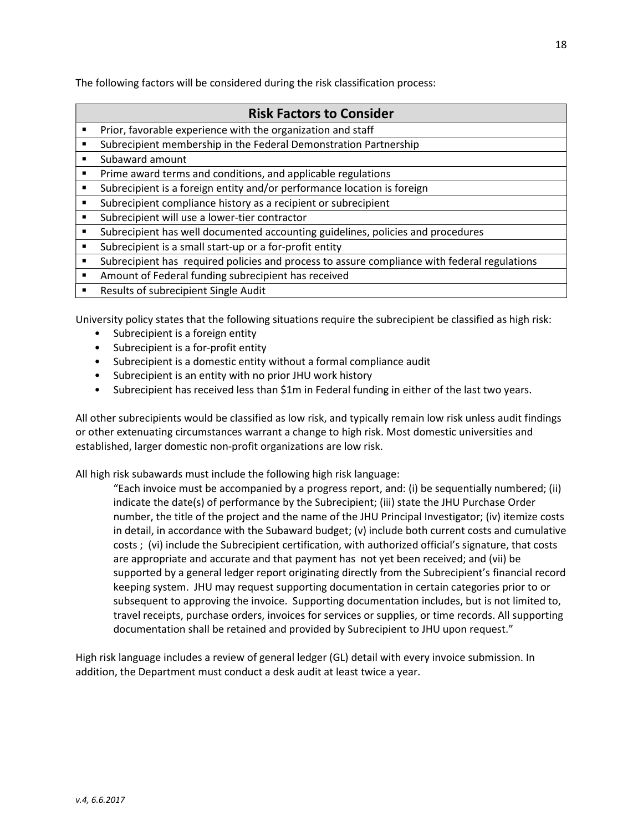The following factors will be considered during the risk classification process:

### Risk Factors to Consider

- **Prior, favorable experience with the organization and staff**
- **Subrecipient membership in the Federal Demonstration Partnership**
- **Subaward amount**
- **Prime award terms and conditions, and applicable regulations**
- Subrecipient is a foreign entity and/or performance location is foreign
- Subrecipient compliance history as a recipient or subrecipient
- **Subrecipient will use a lower-tier contractor**
- Subrecipient has well documented accounting guidelines, policies and procedures
- Subrecipient is a small start-up or a for-profit entity
- Subrecipient has required policies and process to assure compliance with federal regulations
- Amount of Federal funding subrecipient has received
- **Results of subrecipient Single Audit**

University policy states that the following situations require the subrecipient be classified as high risk:

- Subrecipient is a foreign entity
- Subrecipient is a for-profit entity
- Subrecipient is a domestic entity without a formal compliance audit
- Subrecipient is an entity with no prior JHU work history
- Subrecipient has received less than \$1m in Federal funding in either of the last two years.

All other subrecipients would be classified as low risk, and typically remain low risk unless audit findings or other extenuating circumstances warrant a change to high risk. Most domestic universities and established, larger domestic non-profit organizations are low risk.

All high risk subawards must include the following high risk language:

"Each invoice must be accompanied by a progress report, and: (i) be sequentially numbered; (ii) indicate the date(s) of performance by the Subrecipient; (iii) state the JHU Purchase Order number, the title of the project and the name of the JHU Principal Investigator; (iv) itemize costs in detail, in accordance with the Subaward budget; (v) include both current costs and cumulative costs ; (vi) include the Subrecipient certification, with authorized official's signature, that costs are appropriate and accurate and that payment has not yet been received; and (vii) be supported by a general ledger report originating directly from the Subrecipient's financial record keeping system. JHU may request supporting documentation in certain categories prior to or subsequent to approving the invoice. Supporting documentation includes, but is not limited to, travel receipts, purchase orders, invoices for services or supplies, or time records. All supporting documentation shall be retained and provided by Subrecipient to JHU upon request."

High risk language includes a review of general ledger (GL) detail with every invoice submission. In addition, the Department must conduct a desk audit at least twice a year.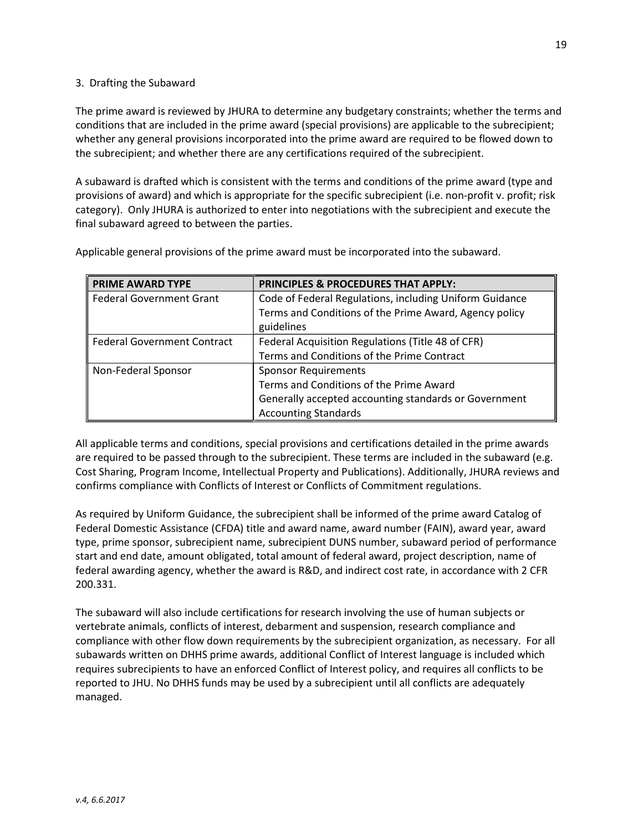#### 3. Drafting the Subaward

The prime award is reviewed by JHURA to determine any budgetary constraints; whether the terms and conditions that are included in the prime award (special provisions) are applicable to the subrecipient; whether any general provisions incorporated into the prime award are required to be flowed down to the subrecipient; and whether there are any certifications required of the subrecipient.

A subaward is drafted which is consistent with the terms and conditions of the prime award (type and provisions of award) and which is appropriate for the specific subrecipient (i.e. non-profit v. profit; risk category). Only JHURA is authorized to enter into negotiations with the subrecipient and execute the final subaward agreed to between the parties.

| <b>PRIME AWARD TYPE</b>            | <b>PRINCIPLES &amp; PROCEDURES THAT APPLY:</b>          |
|------------------------------------|---------------------------------------------------------|
| <b>Federal Government Grant</b>    | Code of Federal Regulations, including Uniform Guidance |
|                                    | Terms and Conditions of the Prime Award, Agency policy  |
|                                    | guidelines                                              |
| <b>Federal Government Contract</b> | Federal Acquisition Regulations (Title 48 of CFR)       |
|                                    | Terms and Conditions of the Prime Contract              |
| Non-Federal Sponsor                | <b>Sponsor Requirements</b>                             |
|                                    | Terms and Conditions of the Prime Award                 |
|                                    | Generally accepted accounting standards or Government   |
|                                    | <b>Accounting Standards</b>                             |

Applicable general provisions of the prime award must be incorporated into the subaward.

All applicable terms and conditions, special provisions and certifications detailed in the prime awards are required to be passed through to the subrecipient. These terms are included in the subaward (e.g. Cost Sharing, Program Income, Intellectual Property and Publications). Additionally, JHURA reviews and confirms compliance with Conflicts of Interest or Conflicts of Commitment regulations.

As required by Uniform Guidance, the subrecipient shall be informed of the prime award Catalog of Federal Domestic Assistance (CFDA) title and award name, award number (FAIN), award year, award type, prime sponsor, subrecipient name, subrecipient DUNS number, subaward period of performance start and end date, amount obligated, total amount of federal award, project description, name of federal awarding agency, whether the award is R&D, and indirect cost rate, in accordance with 2 CFR 200.331.

The subaward will also include certifications for research involving the use of human subjects or vertebrate animals, conflicts of interest, debarment and suspension, research compliance and compliance with other flow down requirements by the subrecipient organization, as necessary. For all subawards written on DHHS prime awards, additional Conflict of Interest language is included which requires subrecipients to have an enforced Conflict of Interest policy, and requires all conflicts to be reported to JHU. No DHHS funds may be used by a subrecipient until all conflicts are adequately managed.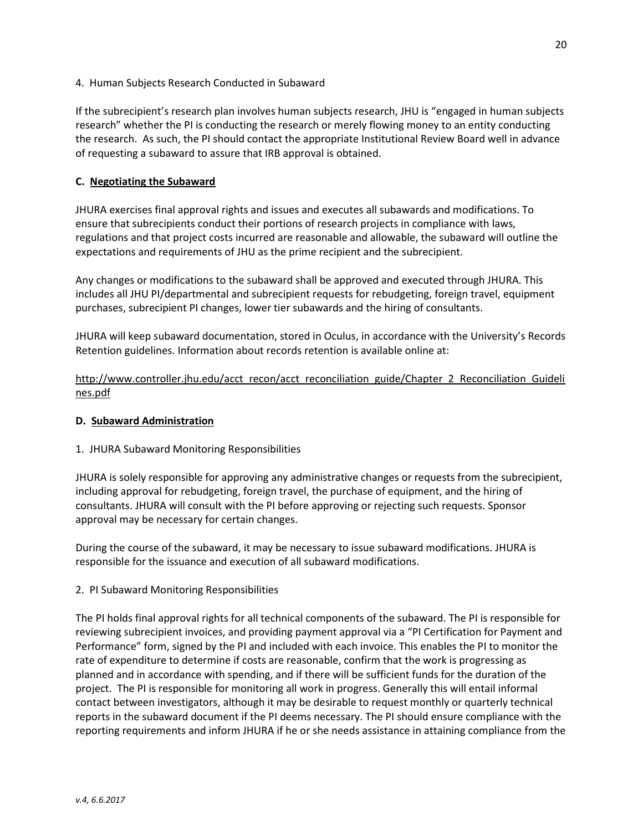4. Human Subjects Research Conducted in Subaward

If the subrecipient's research plan involves human subjects research, JHU is "engaged in human subjects research" whether the PI is conducting the research or merely flowing money to an entity conducting the research. As such, the PI should contact the appropriate Institutional Review Board well in advance of requesting a subaward to assure that IRB approval is obtained.

#### C. Negotiating the Subaward

JHURA exercises final approval rights and issues and executes all subawards and modifications. To ensure that subrecipients conduct their portions of research projects in compliance with laws, regulations and that project costs incurred are reasonable and allowable, the subaward will outline the expectations and requirements of JHU as the prime recipient and the subrecipient.

Any changes or modifications to the subaward shall be approved and executed through JHURA. This includes all JHU PI/departmental and subrecipient requests for rebudgeting, foreign travel, equipment purchases, subrecipient PI changes, lower tier subawards and the hiring of consultants.

JHURA will keep subaward documentation, stored in Oculus, in accordance with the University's Records Retention guidelines. Information about records retention is available online at:

http://www.controller.jhu.edu/acct\_recon/acct\_reconciliation\_guide/Chapter\_2\_Reconciliation\_Guideli nes.pdf

#### D. Subaward Administration

#### 1. JHURA Subaward Monitoring Responsibilities

JHURA is solely responsible for approving any administrative changes or requests from the subrecipient, including approval for rebudgeting, foreign travel, the purchase of equipment, and the hiring of consultants. JHURA will consult with the PI before approving or rejecting such requests. Sponsor approval may be necessary for certain changes.

During the course of the subaward, it may be necessary to issue subaward modifications. JHURA is responsible for the issuance and execution of all subaward modifications.

2. PI Subaward Monitoring Responsibilities

The PI holds final approval rights for all technical components of the subaward. The PI is responsible for reviewing subrecipient invoices, and providing payment approval via a "PI Certification for Payment and Performance" form, signed by the PI and included with each invoice. This enables the PI to monitor the rate of expenditure to determine if costs are reasonable, confirm that the work is progressing as planned and in accordance with spending, and if there will be sufficient funds for the duration of the project. The PI is responsible for monitoring all work in progress. Generally this will entail informal contact between investigators, although it may be desirable to request monthly or quarterly technical reports in the subaward document if the PI deems necessary. The PI should ensure compliance with the reporting requirements and inform JHURA if he or she needs assistance in attaining compliance from the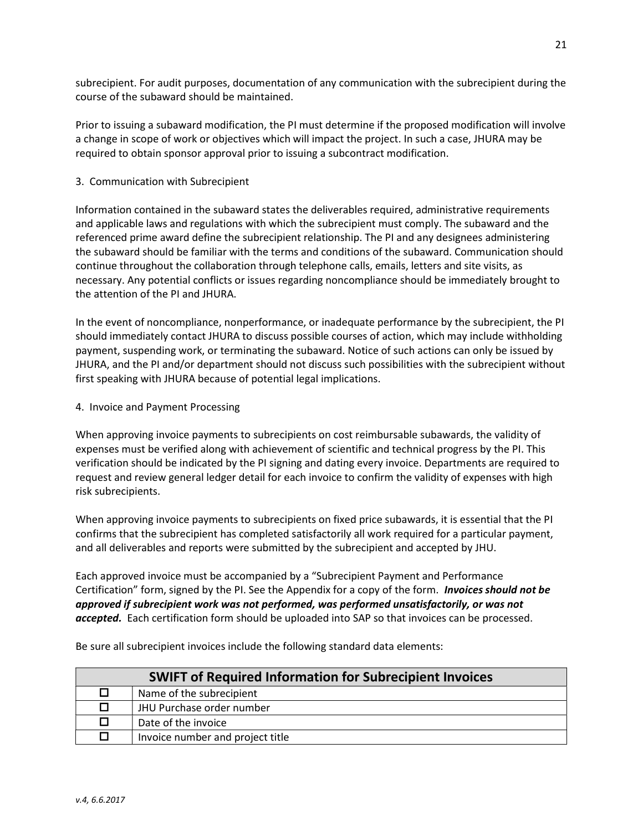subrecipient. For audit purposes, documentation of any communication with the subrecipient during the course of the subaward should be maintained.

Prior to issuing a subaward modification, the PI must determine if the proposed modification will involve a change in scope of work or objectives which will impact the project. In such a case, JHURA may be required to obtain sponsor approval prior to issuing a subcontract modification.

#### 3. Communication with Subrecipient

Information contained in the subaward states the deliverables required, administrative requirements and applicable laws and regulations with which the subrecipient must comply. The subaward and the referenced prime award define the subrecipient relationship. The PI and any designees administering the subaward should be familiar with the terms and conditions of the subaward. Communication should continue throughout the collaboration through telephone calls, emails, letters and site visits, as necessary. Any potential conflicts or issues regarding noncompliance should be immediately brought to the attention of the PI and JHURA.

In the event of noncompliance, nonperformance, or inadequate performance by the subrecipient, the PI should immediately contact JHURA to discuss possible courses of action, which may include withholding payment, suspending work, or terminating the subaward. Notice of such actions can only be issued by JHURA, and the PI and/or department should not discuss such possibilities with the subrecipient without first speaking with JHURA because of potential legal implications.

#### 4. Invoice and Payment Processing

When approving invoice payments to subrecipients on cost reimbursable subawards, the validity of expenses must be verified along with achievement of scientific and technical progress by the PI. This verification should be indicated by the PI signing and dating every invoice. Departments are required to request and review general ledger detail for each invoice to confirm the validity of expenses with high risk subrecipients.

When approving invoice payments to subrecipients on fixed price subawards, it is essential that the PI confirms that the subrecipient has completed satisfactorily all work required for a particular payment, and all deliverables and reports were submitted by the subrecipient and accepted by JHU.

Each approved invoice must be accompanied by a "Subrecipient Payment and Performance Certification" form, signed by the PI. See the Appendix for a copy of the form. **Invoices should not be** approved if subrecipient work was not performed, was performed unsatisfactorily, or was not accepted. Each certification form should be uploaded into SAP so that invoices can be processed.

| <b>SWIFT of Required Information for Subrecipient Invoices</b> |                                  |
|----------------------------------------------------------------|----------------------------------|
|                                                                | Name of the subrecipient         |
| п                                                              | JHU Purchase order number        |
|                                                                | Date of the invoice              |
| 0                                                              | Invoice number and project title |

Be sure all subrecipient invoices include the following standard data elements: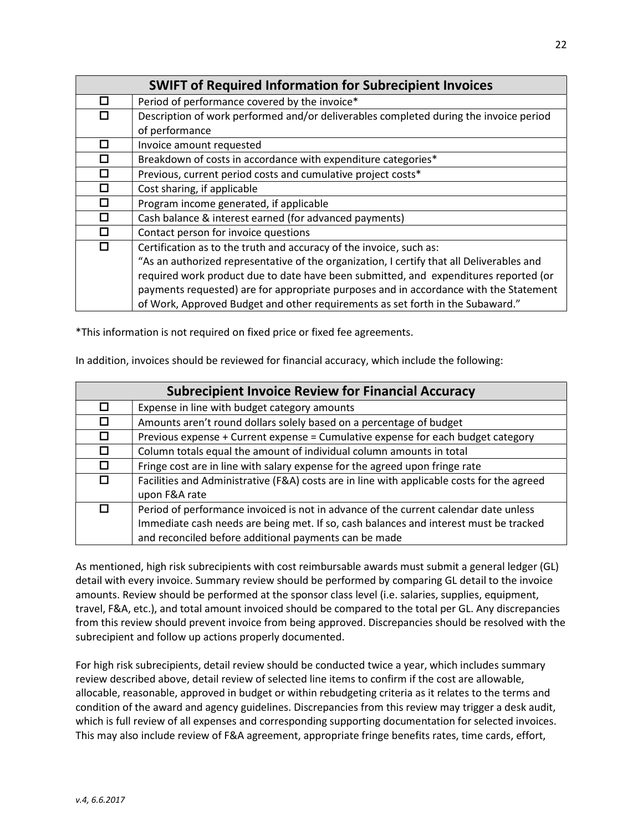|        | <b>SWIFT of Required Information for Subrecipient Invoices</b>                            |
|--------|-------------------------------------------------------------------------------------------|
| □      | Period of performance covered by the invoice*                                             |
| □      | Description of work performed and/or deliverables completed during the invoice period     |
|        | of performance                                                                            |
| П      | Invoice amount requested                                                                  |
| ◻      | Breakdown of costs in accordance with expenditure categories*                             |
| ◻      | Previous, current period costs and cumulative project costs*                              |
| ◻      | Cost sharing, if applicable                                                               |
| $\Box$ | Program income generated, if applicable                                                   |
| П      | Cash balance & interest earned (for advanced payments)                                    |
| ◻      | Contact person for invoice questions                                                      |
| $\Box$ | Certification as to the truth and accuracy of the invoice, such as:                       |
|        | "As an authorized representative of the organization, I certify that all Deliverables and |
|        | required work product due to date have been submitted, and expenditures reported (or      |
|        | payments requested) are for appropriate purposes and in accordance with the Statement     |
|        | of Work, Approved Budget and other requirements as set forth in the Subaward."            |

\*This information is not required on fixed price or fixed fee agreements.

In addition, invoices should be reviewed for financial accuracy, which include the following:

| <b>Subrecipient Invoice Review for Financial Accuracy</b> |                                                                                            |  |
|-----------------------------------------------------------|--------------------------------------------------------------------------------------------|--|
| ◻                                                         | Expense in line with budget category amounts                                               |  |
| П                                                         | Amounts aren't round dollars solely based on a percentage of budget                        |  |
| 0                                                         | Previous expense + Current expense = Cumulative expense for each budget category           |  |
| П                                                         | Column totals equal the amount of individual column amounts in total                       |  |
| П                                                         | Fringe cost are in line with salary expense for the agreed upon fringe rate                |  |
| 0                                                         | Facilities and Administrative (F&A) costs are in line with applicable costs for the agreed |  |
|                                                           | upon F&A rate                                                                              |  |
| П                                                         | Period of performance invoiced is not in advance of the current calendar date unless       |  |
|                                                           | Immediate cash needs are being met. If so, cash balances and interest must be tracked      |  |
|                                                           | and reconciled before additional payments can be made                                      |  |

As mentioned, high risk subrecipients with cost reimbursable awards must submit a general ledger (GL) detail with every invoice. Summary review should be performed by comparing GL detail to the invoice amounts. Review should be performed at the sponsor class level (i.e. salaries, supplies, equipment, travel, F&A, etc.), and total amount invoiced should be compared to the total per GL. Any discrepancies from this review should prevent invoice from being approved. Discrepancies should be resolved with the subrecipient and follow up actions properly documented.

For high risk subrecipients, detail review should be conducted twice a year, which includes summary review described above, detail review of selected line items to confirm if the cost are allowable, allocable, reasonable, approved in budget or within rebudgeting criteria as it relates to the terms and condition of the award and agency guidelines. Discrepancies from this review may trigger a desk audit, which is full review of all expenses and corresponding supporting documentation for selected invoices. This may also include review of F&A agreement, appropriate fringe benefits rates, time cards, effort,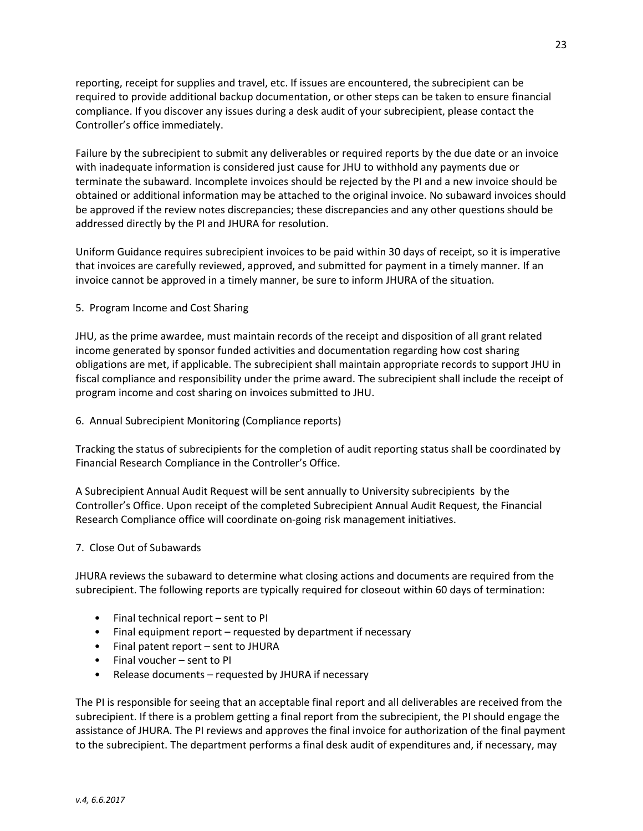reporting, receipt for supplies and travel, etc. If issues are encountered, the subrecipient can be required to provide additional backup documentation, or other steps can be taken to ensure financial compliance. If you discover any issues during a desk audit of your subrecipient, please contact the Controller's office immediately.

Failure by the subrecipient to submit any deliverables or required reports by the due date or an invoice with inadequate information is considered just cause for JHU to withhold any payments due or terminate the subaward. Incomplete invoices should be rejected by the PI and a new invoice should be obtained or additional information may be attached to the original invoice. No subaward invoices should be approved if the review notes discrepancies; these discrepancies and any other questions should be addressed directly by the PI and JHURA for resolution.

Uniform Guidance requires subrecipient invoices to be paid within 30 days of receipt, so it is imperative that invoices are carefully reviewed, approved, and submitted for payment in a timely manner. If an invoice cannot be approved in a timely manner, be sure to inform JHURA of the situation.

#### 5. Program Income and Cost Sharing

JHU, as the prime awardee, must maintain records of the receipt and disposition of all grant related income generated by sponsor funded activities and documentation regarding how cost sharing obligations are met, if applicable. The subrecipient shall maintain appropriate records to support JHU in fiscal compliance and responsibility under the prime award. The subrecipient shall include the receipt of program income and cost sharing on invoices submitted to JHU.

#### 6. Annual Subrecipient Monitoring (Compliance reports)

Tracking the status of subrecipients for the completion of audit reporting status shall be coordinated by Financial Research Compliance in the Controller's Office.

A Subrecipient Annual Audit Request will be sent annually to University subrecipients by the Controller's Office. Upon receipt of the completed Subrecipient Annual Audit Request, the Financial Research Compliance office will coordinate on-going risk management initiatives.

#### 7. Close Out of Subawards

JHURA reviews the subaward to determine what closing actions and documents are required from the subrecipient. The following reports are typically required for closeout within 60 days of termination:

- Final technical report sent to PI
- Final equipment report requested by department if necessary
- Final patent report sent to JHURA
- Final voucher sent to PI
- Release documents requested by JHURA if necessary

The PI is responsible for seeing that an acceptable final report and all deliverables are received from the subrecipient. If there is a problem getting a final report from the subrecipient, the PI should engage the assistance of JHURA. The PI reviews and approves the final invoice for authorization of the final payment to the subrecipient. The department performs a final desk audit of expenditures and, if necessary, may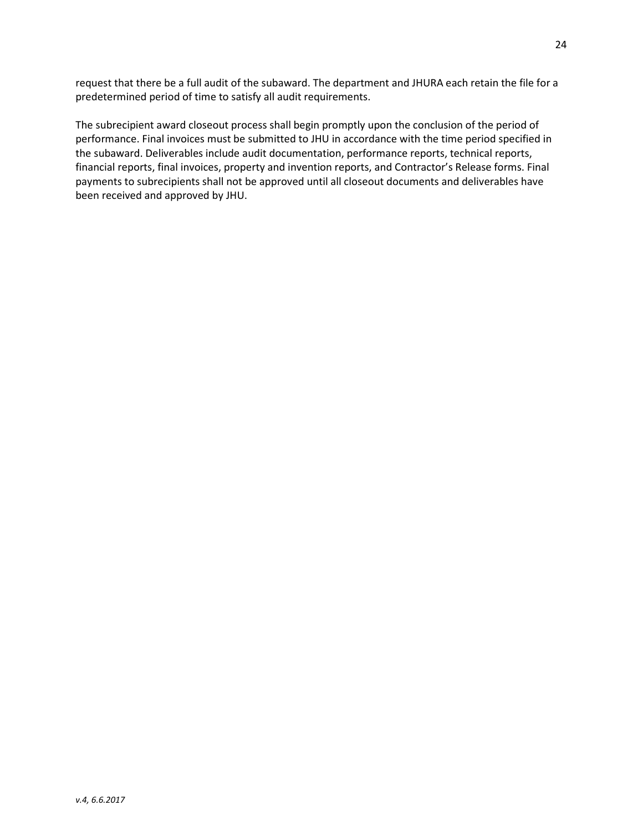request that there be a full audit of the subaward. The department and JHURA each retain the file for a predetermined period of time to satisfy all audit requirements.

The subrecipient award closeout process shall begin promptly upon the conclusion of the period of performance. Final invoices must be submitted to JHU in accordance with the time period specified in the subaward. Deliverables include audit documentation, performance reports, technical reports, financial reports, final invoices, property and invention reports, and Contractor's Release forms. Final payments to subrecipients shall not be approved until all closeout documents and deliverables have been received and approved by JHU.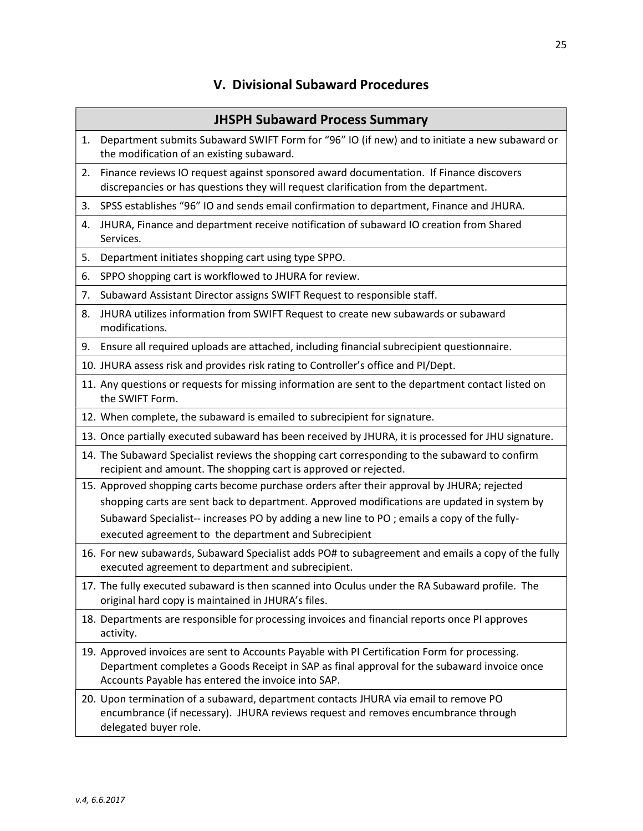# V. Divisional Subaward Procedures

|    | <b>JHSPH Subaward Process Summary</b>                                                                                                                                                                                                              |
|----|----------------------------------------------------------------------------------------------------------------------------------------------------------------------------------------------------------------------------------------------------|
| 1. | Department submits Subaward SWIFT Form for "96" IO (if new) and to initiate a new subaward or<br>the modification of an existing subaward.                                                                                                         |
| 2. | Finance reviews IO request against sponsored award documentation. If Finance discovers<br>discrepancies or has questions they will request clarification from the department.                                                                      |
| 3. | SPSS establishes "96" IO and sends email confirmation to department, Finance and JHURA.                                                                                                                                                            |
| 4. | JHURA, Finance and department receive notification of subaward IO creation from Shared<br>Services.                                                                                                                                                |
| 5. | Department initiates shopping cart using type SPPO.                                                                                                                                                                                                |
| 6. | SPPO shopping cart is workflowed to JHURA for review.                                                                                                                                                                                              |
| 7. | Subaward Assistant Director assigns SWIFT Request to responsible staff.                                                                                                                                                                            |
| 8. | JHURA utilizes information from SWIFT Request to create new subawards or subaward<br>modifications.                                                                                                                                                |
| 9. | Ensure all required uploads are attached, including financial subrecipient questionnaire.                                                                                                                                                          |
|    | 10. JHURA assess risk and provides risk rating to Controller's office and PI/Dept.                                                                                                                                                                 |
|    | 11. Any questions or requests for missing information are sent to the department contact listed on<br>the SWIFT Form.                                                                                                                              |
|    | 12. When complete, the subaward is emailed to subrecipient for signature.                                                                                                                                                                          |
|    | 13. Once partially executed subaward has been received by JHURA, it is processed for JHU signature.                                                                                                                                                |
|    | 14. The Subaward Specialist reviews the shopping cart corresponding to the subaward to confirm<br>recipient and amount. The shopping cart is approved or rejected.                                                                                 |
|    | 15. Approved shopping carts become purchase orders after their approval by JHURA; rejected                                                                                                                                                         |
|    | shopping carts are sent back to department. Approved modifications are updated in system by                                                                                                                                                        |
|    | Subaward Specialist-- increases PO by adding a new line to PO; emails a copy of the fully-<br>executed agreement to the department and Subrecipient                                                                                                |
|    | 16. For new subawards, Subaward Specialist adds PO# to subagreement and emails a copy of the fully<br>executed agreement to department and subrecipient.                                                                                           |
|    | 17. The fully executed subaward is then scanned into Oculus under the RA Subaward profile. The<br>original hard copy is maintained in JHURA's files.                                                                                               |
|    | 18. Departments are responsible for processing invoices and financial reports once PI approves<br>activity.                                                                                                                                        |
|    | 19. Approved invoices are sent to Accounts Payable with PI Certification Form for processing.<br>Department completes a Goods Receipt in SAP as final approval for the subaward invoice once<br>Accounts Payable has entered the invoice into SAP. |
|    | 20. Upon termination of a subaward, department contacts JHURA via email to remove PO<br>encumbrance (if necessary). JHURA reviews request and removes encumbrance through<br>delegated buyer role.                                                 |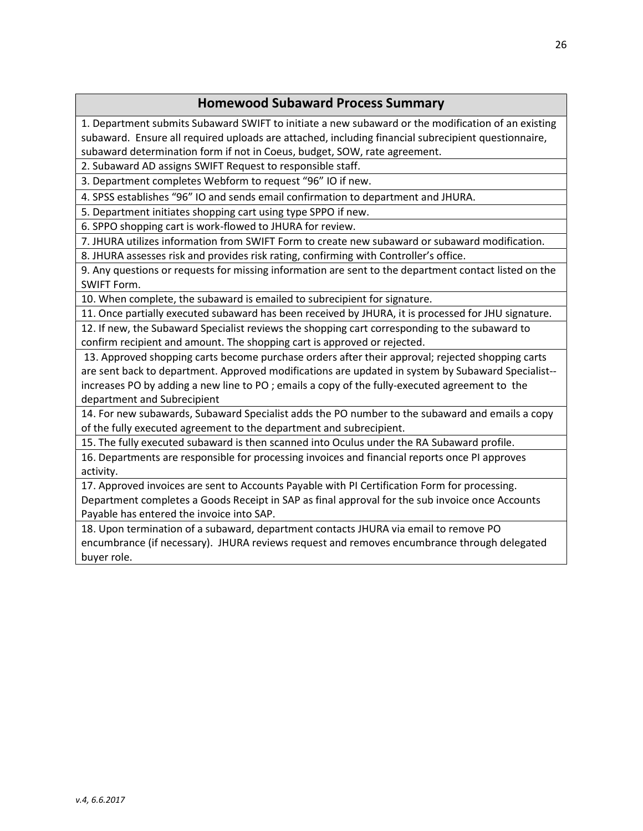# Homewood Subaward Process Summary

1. Department submits Subaward SWIFT to initiate a new subaward or the modification of an existing subaward. Ensure all required uploads are attached, including financial subrecipient questionnaire, subaward determination form if not in Coeus, budget, SOW, rate agreement.

2. Subaward AD assigns SWIFT Request to responsible staff.

3. Department completes Webform to request "96" IO if new.

4. SPSS establishes "96" IO and sends email confirmation to department and JHURA.

5. Department initiates shopping cart using type SPPO if new.

6. SPPO shopping cart is work-flowed to JHURA for review.

7. JHURA utilizes information from SWIFT Form to create new subaward or subaward modification.

8. JHURA assesses risk and provides risk rating, confirming with Controller's office.

9. Any questions or requests for missing information are sent to the department contact listed on the SWIFT Form.

10. When complete, the subaward is emailed to subrecipient for signature.

11. Once partially executed subaward has been received by JHURA, it is processed for JHU signature.

12. If new, the Subaward Specialist reviews the shopping cart corresponding to the subaward to confirm recipient and amount. The shopping cart is approved or rejected.

13. Approved shopping carts become purchase orders after their approval; rejected shopping carts are sent back to department. Approved modifications are updated in system by Subaward Specialist- increases PO by adding a new line to PO ; emails a copy of the fully-executed agreement to the department and Subrecipient

14. For new subawards, Subaward Specialist adds the PO number to the subaward and emails a copy of the fully executed agreement to the department and subrecipient.

15. The fully executed subaward is then scanned into Oculus under the RA Subaward profile.

16. Departments are responsible for processing invoices and financial reports once PI approves activity.

17. Approved invoices are sent to Accounts Payable with PI Certification Form for processing. Department completes a Goods Receipt in SAP as final approval for the sub invoice once Accounts Payable has entered the invoice into SAP.

18. Upon termination of a subaward, department contacts JHURA via email to remove PO encumbrance (if necessary). JHURA reviews request and removes encumbrance through delegated buyer role.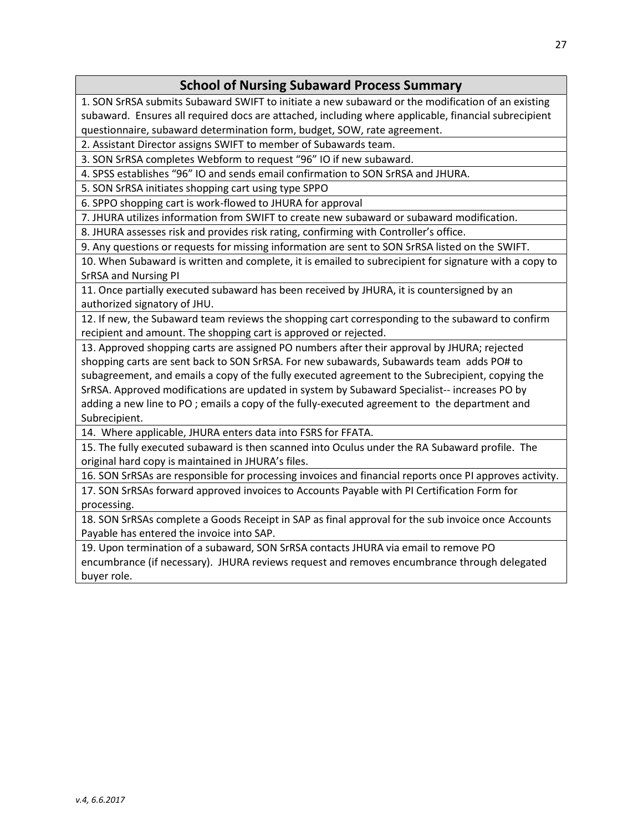# School of Nursing Subaward Process Summary

1. SON SrRSA submits Subaward SWIFT to initiate a new subaward or the modification of an existing subaward. Ensures all required docs are attached, including where applicable, financial subrecipient questionnaire, subaward determination form, budget, SOW, rate agreement.

2. Assistant Director assigns SWIFT to member of Subawards team.

3. SON SrRSA completes Webform to request "96" IO if new subaward.

4. SPSS establishes "96" IO and sends email confirmation to SON SrRSA and JHURA.

5. SON SrRSA initiates shopping cart using type SPPO

6. SPPO shopping cart is work-flowed to JHURA for approval

7. JHURA utilizes information from SWIFT to create new subaward or subaward modification.

8. JHURA assesses risk and provides risk rating, confirming with Controller's office.

9. Any questions or requests for missing information are sent to SON SrRSA listed on the SWIFT.

10. When Subaward is written and complete, it is emailed to subrecipient for signature with a copy to SrRSA and Nursing PI

11. Once partially executed subaward has been received by JHURA, it is countersigned by an authorized signatory of JHU.

12. If new, the Subaward team reviews the shopping cart corresponding to the subaward to confirm recipient and amount. The shopping cart is approved or rejected.

13. Approved shopping carts are assigned PO numbers after their approval by JHURA; rejected shopping carts are sent back to SON SrRSA. For new subawards, Subawards team adds PO# to subagreement, and emails a copy of the fully executed agreement to the Subrecipient, copying the SrRSA. Approved modifications are updated in system by Subaward Specialist-- increases PO by adding a new line to PO ; emails a copy of the fully-executed agreement to the department and Subrecipient.

14. Where applicable, JHURA enters data into FSRS for FFATA.

15. The fully executed subaward is then scanned into Oculus under the RA Subaward profile. The original hard copy is maintained in JHURA's files.

16. SON SrRSAs are responsible for processing invoices and financial reports once PI approves activity. 17. SON SrRSAs forward approved invoices to Accounts Payable with PI Certification Form for processing.

18. SON SrRSAs complete a Goods Receipt in SAP as final approval for the sub invoice once Accounts Payable has entered the invoice into SAP.

19. Upon termination of a subaward, SON SrRSA contacts JHURA via email to remove PO encumbrance (if necessary). JHURA reviews request and removes encumbrance through delegated buyer role.